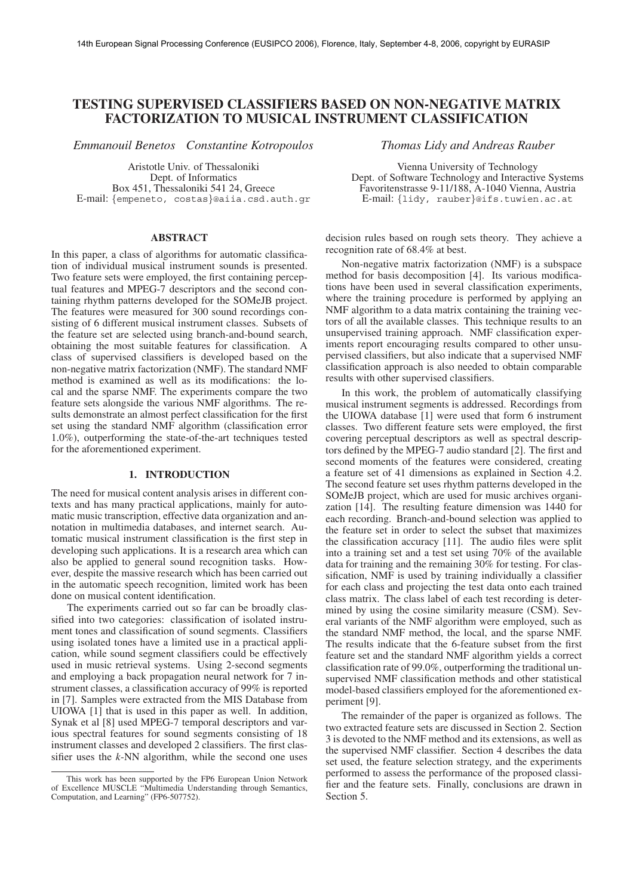# **TESTING SUPERVISED CLASSIFIERS BASED ON NON-NEGATIVE MATRIX FACTORIZATION TO MUSICAL INSTRUMENT CLASSIFICATION**

*Emmanouil Benetos Constantine Kotropoulos Thomas Lidy and Andreas Rauber*

Aristotle Univ. of Thessaloniki Dept. of Informatics Box 451, Thessaloniki 541 24, Greece E-mail: *{*empeneto, costas*}*@aiia.csd.auth.gr

## **ABSTRACT**

In this paper, a class of algorithms for automatic classification of individual musical instrument sounds is presented. Two feature sets were employed, the first containing perceptual features and MPEG-7 descriptors and the second containing rhythm patterns developed for the SOMeJB project. The features were measured for 300 sound recordings consisting of 6 different musical instrument classes. Subsets of the feature set are selected using branch-and-bound search, obtaining the most suitable features for classification. A class of supervised classifiers is developed based on the non-negative matrix factorization (NMF). The standard NMF method is examined as well as its modifications: the local and the sparse NMF. The experiments compare the two feature sets alongside the various NMF algorithms. The results demonstrate an almost perfect classification for the first set using the standard NMF algorithm (classification error 1.0%), outperforming the state-of-the-art techniques tested for the aforementioned experiment.

## **1. INTRODUCTION**

The need for musical content analysis arises in different contexts and has many practical applications, mainly for automatic music transcription, effective data organization and annotation in multimedia databases, and internet search. Automatic musical instrument classification is the first step in developing such applications. It is a research area which can also be applied to general sound recognition tasks. However, despite the massive research which has been carried out in the automatic speech recognition, limited work has been done on musical content identification.

The experiments carried out so far can be broadly classified into two categories: classification of isolated instrument tones and classification of sound segments. Classifiers using isolated tones have a limited use in a practical application, while sound segment classifiers could be effectively used in music retrieval systems. Using 2-second segments and employing a back propagation neural network for 7 instrument classes, a classification accuracy of 99% is reported in [7]. Samples were extracted from the MIS Database from UIOWA [1] that is used in this paper as well. In addition, Synak et al [8] used MPEG-7 temporal descriptors and various spectral features for sound segments consisting of 18 instrument classes and developed 2 classifiers. The first classifier uses the *k*-NN algorithm, while the second one uses

Vienna University of Technology Dept. of Software Technology and Interactive Systems Favoritenstrasse 9-11/188, A-1040 Vienna, Austria E-mail: *{*lidy, rauber*}*@ifs.tuwien.ac.at

decision rules based on rough sets theory. They achieve a recognition rate of 68.4% at best.

Non-negative matrix factorization (NMF) is a subspace method for basis decomposition [4]. Its various modifications have been used in several classification experiments, where the training procedure is performed by applying an NMF algorithm to a data matrix containing the training vectors of all the available classes. This technique results to an unsupervised training approach. NMF classification experiments report encouraging results compared to other unsupervised classifiers, but also indicate that a supervised NMF classification approach is also needed to obtain comparable results with other supervised classifiers.

In this work, the problem of automatically classifying musical instrument segments is addressed. Recordings from the UIOWA database [1] were used that form 6 instrument classes. Two different feature sets were employed, the first covering perceptual descriptors as well as spectral descriptors defined by the MPEG-7 audio standard [2]. The first and second moments of the features were considered, creating a feature set of 41 dimensions as explained in Section 4.2. The second feature set uses rhythm patterns developed in the SOMeJB project, which are used for music archives organization [14]. The resulting feature dimension was 1440 for each recording. Branch-and-bound selection was applied to the feature set in order to select the subset that maximizes the classification accuracy [11]. The audio files were split into a training set and a test set using 70% of the available data for training and the remaining 30% for testing. For classification, NMF is used by training individually a classifier for each class and projecting the test data onto each trained class matrix. The class label of each test recording is determined by using the cosine similarity measure (CSM). Several variants of the NMF algorithm were employed, such as the standard NMF method, the local, and the sparse NMF. The results indicate that the 6-feature subset from the first feature set and the standard NMF algorithm yields a correct classification rate of 99.0%, outperforming the traditional unsupervised NMF classification methods and other statistical model-based classifiers employed for the aforementioned experiment [9].

The remainder of the paper is organized as follows. The two extracted feature sets are discussed in Section 2. Section 3 is devoted to the NMF method and its extensions, as well as the supervised NMF classifier. Section 4 describes the data set used, the feature selection strategy, and the experiments performed to assess the performance of the proposed classifier and the feature sets. Finally, conclusions are drawn in Section 5.

This work has been supported by the FP6 European Union Network of Excellence MUSCLE "Multimedia Understanding through Semantics, Computation, and Learning" (FP6-507752).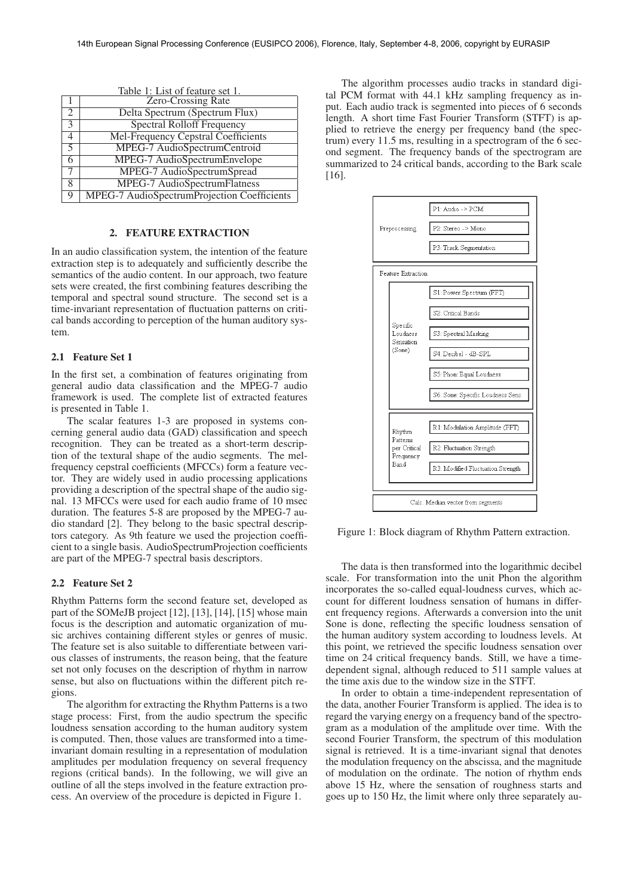| Table 1: List of feature set 1. |                                             |  |  |  |  |  |  |
|---------------------------------|---------------------------------------------|--|--|--|--|--|--|
|                                 | <b>Zero-Crossing Rate</b>                   |  |  |  |  |  |  |
| 2                               | Delta Spectrum (Spectrum Flux)              |  |  |  |  |  |  |
| $\mathcal{E}$                   | <b>Spectral Rolloff Frequency</b>           |  |  |  |  |  |  |
| $\overline{4}$                  | <b>Mel-Frequency Cepstral Coefficients</b>  |  |  |  |  |  |  |
| $\overline{5}$                  | MPEG-7 AudioSpectrumCentroid                |  |  |  |  |  |  |
| 6                               | MPEG-7 AudioSpectrumEnvelope                |  |  |  |  |  |  |
|                                 | MPEG-7 AudioSpectrumSpread                  |  |  |  |  |  |  |
| 8                               | MPEG-7 AudioSpectrumFlatness                |  |  |  |  |  |  |
| Q                               | MPEG-7 AudioSpectrumProjection Coefficients |  |  |  |  |  |  |

 $Table 1: Let of factors$ 

## **2. FEATURE EXTRACTION**

In an audio classification system, the intention of the feature extraction step is to adequately and sufficiently describe the semantics of the audio content. In our approach, two feature sets were created, the first combining features describing the temporal and spectral sound structure. The second set is a time-invariant representation of fluctuation patterns on critical bands according to perception of the human auditory system.

## **2.1 Feature Set 1**

In the first set, a combination of features originating from general audio data classification and the MPEG-7 audio framework is used. The complete list of extracted features is presented in Table 1.

The scalar features 1-3 are proposed in systems concerning general audio data (GAD) classification and speech recognition. They can be treated as a short-term description of the textural shape of the audio segments. The melfrequency cepstral coefficients (MFCCs) form a feature vector. They are widely used in audio processing applications providing a description of the spectral shape of the audio signal. 13 MFCCs were used for each audio frame of 10 msec duration. The features 5-8 are proposed by the MPEG-7 audio standard [2]. They belong to the basic spectral descriptors category. As 9th feature we used the projection coefficient to a single basis. AudioSpectrumProjection coefficients are part of the MPEG-7 spectral basis descriptors.

## **2.2 Feature Set 2**

Rhythm Patterns form the second feature set, developed as part of the SOMeJB project [12], [13], [14], [15] whose main focus is the description and automatic organization of music archives containing different styles or genres of music. The feature set is also suitable to differentiate between various classes of instruments, the reason being, that the feature set not only focuses on the description of rhythm in narrow sense, but also on fluctuations within the different pitch regions.

The algorithm for extracting the Rhythm Patterns is a two stage process: First, from the audio spectrum the specific loudness sensation according to the human auditory system is computed. Then, those values are transformed into a timeinvariant domain resulting in a representation of modulation amplitudes per modulation frequency on several frequency regions (critical bands). In the following, we will give an outline of all the steps involved in the feature extraction process. An overview of the procedure is depicted in Figure 1.

The algorithm processes audio tracks in standard digital PCM format with 44.1 kHz sampling frequency as input. Each audio track is segmented into pieces of 6 seconds length. A short time Fast Fourier Transform (STFT) is applied to retrieve the energy per frequency band (the spectrum) every 11.5 ms, resulting in a spectrogram of the 6 second segment. The frequency bands of the spectrogram are summarized to 24 critical bands, according to the Bark scale [16].



Figure 1: Block diagram of Rhythm Pattern extraction.

The data is then transformed into the logarithmic decibel scale. For transformation into the unit Phon the algorithm incorporates the so-called equal-loudness curves, which account for different loudness sensation of humans in different frequency regions. Afterwards a conversion into the unit Sone is done, reflecting the specific loudness sensation of the human auditory system according to loudness levels. At this point, we retrieved the specific loudness sensation over time on 24 critical frequency bands. Still, we have a timedependent signal, although reduced to 511 sample values at the time axis due to the window size in the STFT.

In order to obtain a time-independent representation of the data, another Fourier Transform is applied. The idea is to regard the varying energy on a frequency band of the spectrogram as a modulation of the amplitude over time. With the second Fourier Transform, the spectrum of this modulation signal is retrieved. It is a time-invariant signal that denotes the modulation frequency on the abscissa, and the magnitude of modulation on the ordinate. The notion of rhythm ends above 15 Hz, where the sensation of roughness starts and goes up to 150 Hz, the limit where only three separately au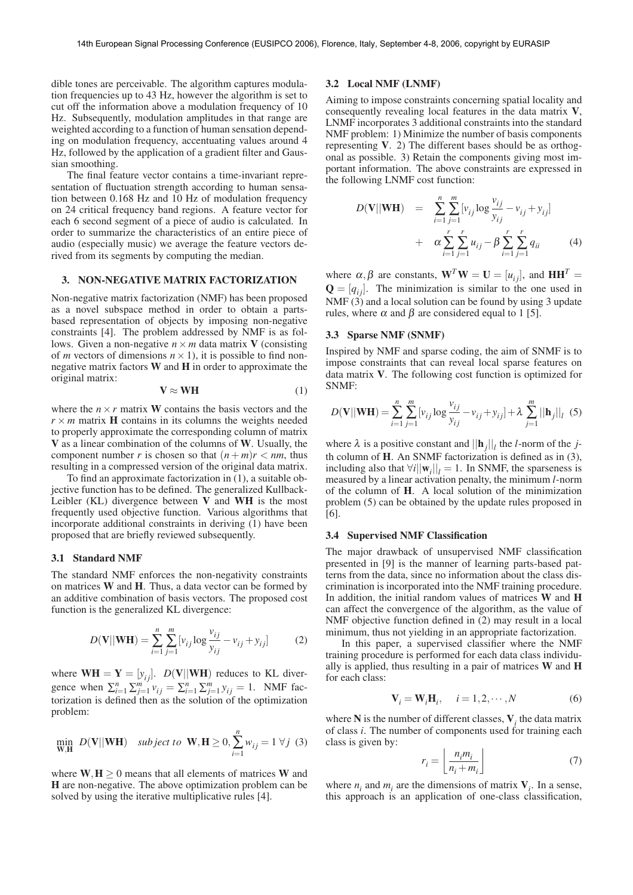dible tones are perceivable. The algorithm captures modulation frequencies up to 43 Hz, however the algorithm is set to cut off the information above a modulation frequency of 10 Hz. Subsequently, modulation amplitudes in that range are weighted according to a function of human sensation depending on modulation frequency, accentuating values around 4 Hz, followed by the application of a gradient filter and Gaussian smoothing.

The final feature vector contains a time-invariant representation of fluctuation strength according to human sensation between 0.168 Hz and 10 Hz of modulation frequency on 24 critical frequency band regions. A feature vector for each 6 second segment of a piece of audio is calculated. In order to summarize the characteristics of an entire piece of audio (especially music) we average the feature vectors derived from its segments by computing the median.

## **3. NON-NEGATIVE MATRIX FACTORIZATION**

Non-negative matrix factorization (NMF) has been proposed as a novel subspace method in order to obtain a partsbased representation of objects by imposing non-negative constraints [4]. The problem addressed by NMF is as follows. Given a non-negative  $n \times m$  data matrix **V** (consisting of *m* vectors of dimensions  $n \times 1$ , it is possible to find nonnegative matrix factors **W** and **H** in order to approximate the original matrix:

$$
V \approx WH \tag{1}
$$

where the  $n \times r$  matrix **W** contains the basis vectors and the  $r \times m$  matrix **H** contains in its columns the weights needed to properly approximate the corresponding column of matrix **V** as a linear combination of the columns of **W**. Usually, the component number *r* is chosen so that  $(n+m)r < nm$ , thus resulting in a compressed version of the original data matrix.

To find an approximate factorization in (1), a suitable objective function has to be defined. The generalized Kullback-Leibler (KL) divergence between **V** and **WH** is the most frequently used objective function. Various algorithms that incorporate additional constraints in deriving (1) have been proposed that are briefly reviewed subsequently.

## **3.1 Standard NMF**

The standard NMF enforces the non-negativity constraints on matrices **W** and **H**. Thus, a data vector can be formed by an additive combination of basis vectors. The proposed cost function is the generalized KL divergence:

$$
D(\mathbf{V}||\mathbf{W}\mathbf{H}) = \sum_{i=1}^{n} \sum_{j=1}^{m} [v_{ij} \log \frac{v_{ij}}{y_{ij}} - v_{ij} + y_{ij}]
$$
 (2)

where  $WH = Y = [y_{ij}]$ .  $D(V||WH)$  reduces to KL divergence when  $\sum_{i=1}^{n} \sum_{j=1}^{m} v_{ij} = \sum_{i=1}^{n} \sum_{j=1}^{m} y_{ij} = 1$ . NMF factorization is defined then as the solution of the optimization problem:

$$
\min_{\mathbf{W}, \mathbf{H}} \ D(\mathbf{V}||\mathbf{W}\mathbf{H}) \quad \text{subject to} \quad \mathbf{W}, \mathbf{H} \ge 0, \sum_{i=1}^{n} w_{ij} = 1 \ \forall j \ (3)
$$

where  $W, H \geq 0$  means that all elements of matrices W and **H** are non-negative. The above optimization problem can be solved by using the iterative multiplicative rules [4].

## **3.2 Local NMF (LNMF)**

Aiming to impose constraints concerning spatial locality and consequently revealing local features in the data matrix **V**, LNMF incorporates 3 additional constraints into the standard NMF problem: 1) Minimize the number of basis components representing **V**. 2) The different bases should be as orthogonal as possible. 3) Retain the components giving most important information. The above constraints are expressed in the following LNMF cost function:

$$
D(\mathbf{V}||\mathbf{W}\mathbf{H}) = \sum_{i=1}^{n} \sum_{j=1}^{m} [v_{ij} \log \frac{v_{ij}}{y_{ij}} - v_{ij} + y_{ij}] + \alpha \sum_{i=1}^{r} \sum_{j=1}^{r} u_{ij} - \beta \sum_{i=1}^{r} \sum_{j=1}^{r} q_{ii}
$$
 (4)

where  $\alpha, \beta$  are constants,  $\mathbf{W}^T \mathbf{W} = \mathbf{U} = [u_{ij}]$ , and  $\mathbf{H} \mathbf{H}^T =$  $\mathbf{Q} = [q_{ij}]$ . The minimization is similar to the one used in NMF  $(3)$  and a local solution can be found by using 3 update rules, where  $\alpha$  and  $\beta$  are considered equal to 1 [5].

## **3.3 Sparse NMF (SNMF)**

Inspired by NMF and sparse coding, the aim of SNMF is to impose constraints that can reveal local sparse features on data matrix **V**. The following cost function is optimized for SNMF:

$$
D(\mathbf{V}||\mathbf{W}\mathbf{H}) = \sum_{i=1}^{n} \sum_{j=1}^{m} [v_{ij} \log \frac{v_{ij}}{v_{ij}} - v_{ij} + y_{ij}] + \lambda \sum_{j=1}^{m} ||\mathbf{h}_{j}||_{l} \quad (5)
$$

where  $\lambda$  is a positive constant and  $||\mathbf{h}_j||_l$  the *l*-norm of the *j*th column of **H**. An SNMF factorization is defined as in (3), including also that  $\forall i ||\mathbf{w}_i||_i = 1$ . In SNMF, the sparseness is measured by a linear activation penalty, the minimum *l*-norm of the column of **H**. A local solution of the minimization problem (5) can be obtained by the update rules proposed in [6].

#### **3.4 Supervised NMF Classification**

The major drawback of unsupervised NMF classification presented in [9] is the manner of learning parts-based patterns from the data, since no information about the class discrimination is incorporated into the NMF training procedure. In addition, the initial random values of matrices **W** and **H** can affect the convergence of the algorithm, as the value of NMF objective function defined in (2) may result in a local minimum, thus not yielding in an appropriate factorization.

In this paper, a supervised classifier where the NMF training procedure is performed for each data class individually is applied, thus resulting in a pair of matrices **W** and **H** for each class:

$$
\mathbf{V}_i = \mathbf{W}_i \mathbf{H}_i, \quad i = 1, 2, \cdots, N
$$
 (6)

where  $N$  is the number of different classes,  $V$ <sub>*i*</sub> the data matrix of class *i*. The number of components used for training each class is given by:

$$
r_i = \left\lfloor \frac{n_i m_i}{n_i + m_i} \right\rfloor \tag{7}
$$

where  $n_i$  and  $m_i$  are the dimensions of matrix  $V_i$ . In a sense, this approach is an application of one-class classification,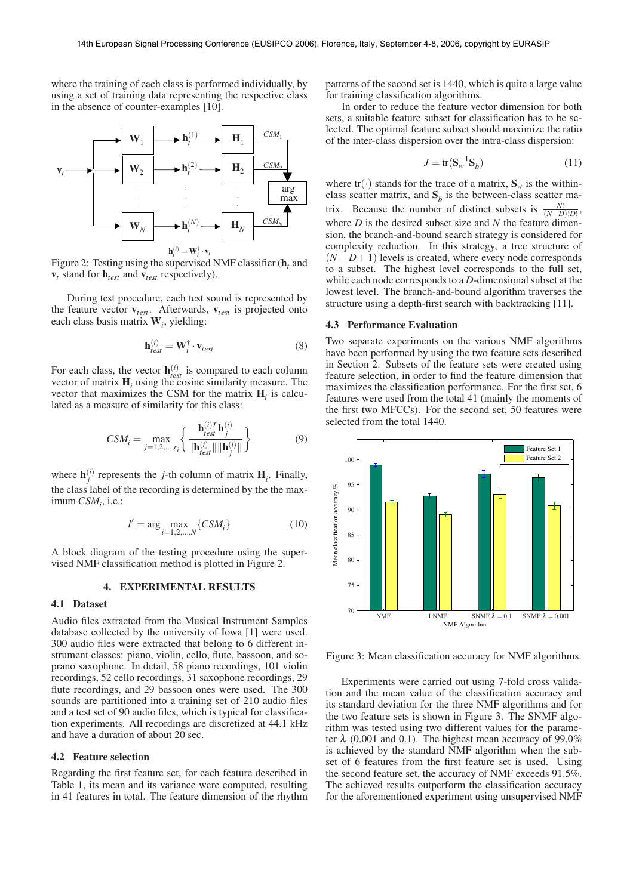where the training of each class is performed individually, by using a set of training data representing the respective class in the absence of counter-examples [10].



Figure 2: Testing using the supervised NMF classifier (**h***<sup>t</sup>* and  **stand for**  $**h**<sub>test</sub>$  **and**  $**v**<sub>test</sub>$  **respectively).** 

During test procedure, each test sound is represented by the feature vector **v***test*. Afterwards, **v***test* is projected onto each class basis matrix **W***<sup>i</sup>* , yielding:

$$
\mathbf{h}_{test}^{(i)} = \mathbf{W}_i^{\dagger} \cdot \mathbf{v}_{test}
$$
 (8)

For each class, the vector  $\mathbf{h}_{test}^{(i)}$  is compared to each column vector of matrix  $H_i$  using the cosine similarity measure. The vector that maximizes the CSM for the matrix **H***<sup>i</sup>* is calculated as a measure of similarity for this class:

$$
CSM_{i} = \max_{j=1,2,...,r_{i}} \left\{ \frac{\mathbf{h}_{test}^{(i)T} \mathbf{h}_{j}^{(i)}}{\|\mathbf{h}_{test}^{(i)}\| \|\mathbf{h}_{j}^{(i)}\|} \right\}
$$
(9)

where  $\mathbf{h}^{(i)}_j$  represents the *j*-th column of matrix  $\mathbf{H}_i$ . Finally, the class label of the recording is determined by the the max- $\limum\, CSM_i$ , i.e.:

$$
l' = \arg\max_{i=1,2,\dots,N} \{CSM_i\} \tag{10}
$$

A block diagram of the testing procedure using the supervised NMF classification method is plotted in Figure 2.

## **4. EXPERIMENTAL RESULTS**

## **4.1 Dataset**

Audio files extracted from the Musical Instrument Samples database collected by the university of Iowa [1] were used. 300 audio files were extracted that belong to 6 different instrument classes: piano, violin, cello, flute, bassoon, and soprano saxophone. In detail, 58 piano recordings, 101 violin recordings, 52 cello recordings, 31 saxophone recordings, 29 flute recordings, and 29 bassoon ones were used. The 300 sounds are partitioned into a training set of 210 audio files and a test set of 90 audio files, which is typical for classification experiments. All recordings are discretized at 44.1 kHz and have a duration of about 20 sec.

#### **4.2 Feature selection**

Regarding the first feature set, for each feature described in Table 1, its mean and its variance were computed, resulting in 41 features in total. The feature dimension of the rhythm patterns of the second set is 1440, which is quite a large value for training classification algorithms.

In order to reduce the feature vector dimension for both sets, a suitable feature subset for classification has to be selected. The optimal feature subset should maximize the ratio of the inter-class dispersion over the intra-class dispersion:

$$
J = \text{tr}(\mathbf{S}_w^{-1} \mathbf{S}_b) \tag{11}
$$

where  $tr(\cdot)$  stands for the trace of a matrix,  $S_w$  is the withinclass scatter matrix, and  $S_b$  is the between-class scatter matrix. Because the number of distinct subsets is  $\frac{N!}{(N-D)!D!}$ , where *D* is the desired subset size and *N* the feature dimension, the branch-and-bound search strategy is considered for complexity reduction. In this strategy, a tree structure of  $(N - D + 1)$  levels is created, where every node corresponds to a subset. The highest level corresponds to the full set, while each node corresponds to a *D*-dimensional subset at the lowest level. The branch-and-bound algorithm traverses the structure using a depth-first search with backtracking [11].

## **4.3 Performance Evaluation**

Two separate experiments on the various NMF algorithms have been performed by using the two feature sets described in Section 2. Subsets of the feature sets were created using feature selection, in order to find the feature dimension that maximizes the classification performance. For the first set, 6 features were used from the total 41 (mainly the moments of the first two MFCCs). For the second set, 50 features were selected from the total 1440.



Figure 3: Mean classification accuracy for NMF algorithms.

Experiments were carried out using 7-fold cross validation and the mean value of the classification accuracy and its standard deviation for the three NMF algorithms and for the two feature sets is shown in Figure 3. The SNMF algorithm was tested using two different values for the parameter  $\lambda$  (0.001 and 0.1). The highest mean accuracy of 99.0% is achieved by the standard NMF algorithm when the subset of 6 features from the first feature set is used. Using the second feature set, the accuracy of NMF exceeds 91.5%. The achieved results outperform the classification accuracy for the aforementioned experiment using unsupervised NMF